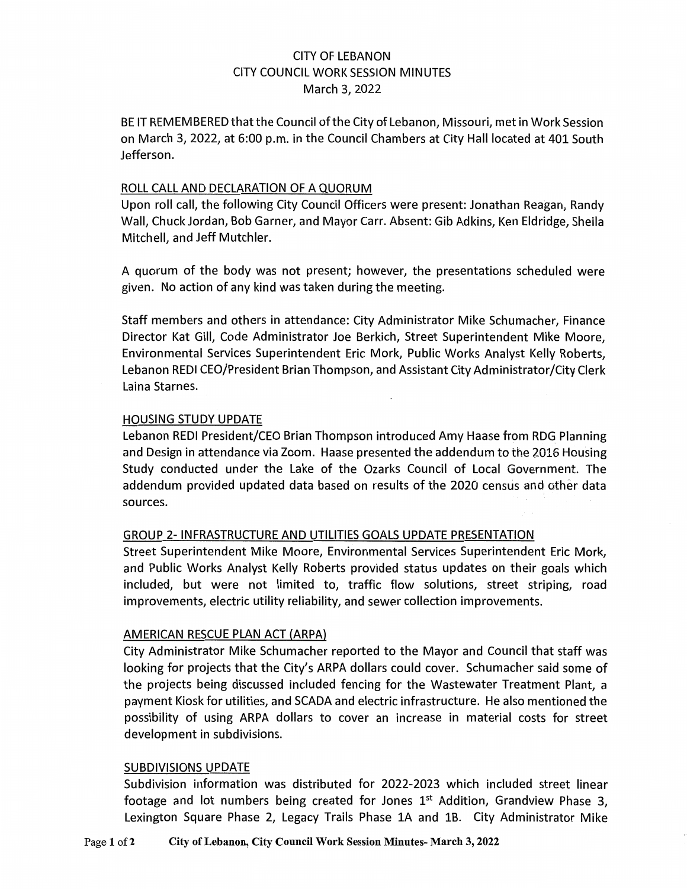# CITY OF LEBANON CITY COUNCIL WORK SESSION MINUTES March 3, 2022

BE IT REMEMBERED that the Council of the City of Lebanon, Missouri, met in Work Session on March 3, 2022, at 6:00 p.m. in the Council Chambers at City Hall located at 401 South Jefferson.

### ROLL CALL AND DECLARATION OF A QUORUM

Upon roll call, the following City Council Officers were present: Jonathan Reagan, Randy Wall, Chuck Jordan, Bob Garner, and Mayor Carr. Absent: Gib Adkins, Ken Eldridge, Sheila Mitchell, and Jeff Mutchler.

A quorum of the body was not present; however, the presentations scheduled were given. No action of any kind was taken during the meeting.

Staff members and others in attendance: City Administrator Mike Schumacher, Finance Director Kat Gill, Code Administrator Joe Berkich, Street Superintendent Mike Moore, Environmental Services Superintendent Eric Mork, Public Works Analyst Kelly Roberts, Lebanon REDI CEO/President Brian Thompson, and Assistant City Administrator/City Clerk Laina Starnes.

## HOUSING STUDY UPDATE

Lebanon REDI President/CEO Brian Thompson introduced Amy Haase from RDG Planning and Design in attendance via Zoom. Haase presented the addendum to the 2016 Housing Study conducted under the Lake of the Ozarks Council of Local Government. The addendum provided updated data based on results of the 2020 census and other data sources.

## GROUP 2- INFRASTRUCTURE AND UTILITIES GOALS UPDATE PRESENTATION

Street Superintendent Mike Moore, Environmental Services Superintendent Eric Mork, and Public Works Analyst Kelly Roberts provided status updates on their goals which included, but were not limited to, traffic flow solutions, street striping, road improvements, electric utility reliability, and sewer collection improvements.

## AMERICAN RESCUE PLAN ACT (ARPA)

City Administrator Mike Schumacher reported to the Mayor and Council that staff was looking for projects that the City's ARPA dollars could cover. Schumacher said some of the projects being discussed included fencing for the Wastewater Treatment Plant, a payment Kiosk for utilities, and SCADA and electric infrastructure. He also mentioned the possibility of using ARPA dollars to cover an increase in material costs for street development in subdivisions.

#### SUBDIVISIONS UPDATE

Subdivision information was distributed for 2022-2023 which included street linear footage and lot numbers being created for Jones  $1<sup>st</sup>$  Addition, Grandview Phase 3, Lexington Square Phase 2, Legacy Trails Phase 1A and 1B. City Administrator Mike